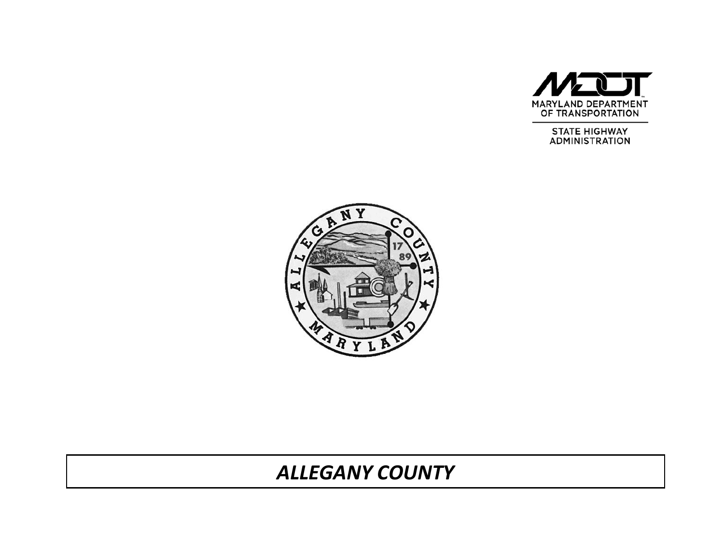

**STATE HIGHWAY ADMINISTRATION** 



# *ALLEGANY COUNTY*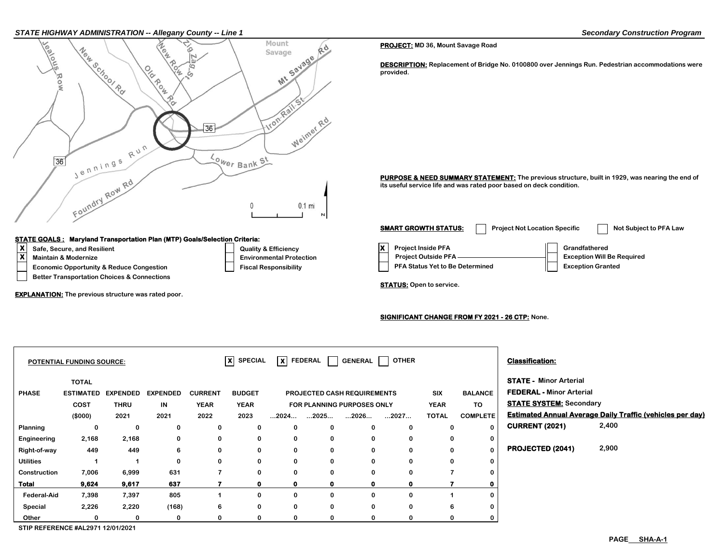

#### **STATE GOALS : Maryland Transportation Plan (MTP) Goals/Selection Criteria:**

- 
- 
- 
- **Better Transportation Choices & Connections**

**EXPLANATION: The previous structure was rated poor.**

#### **PROJECT: MD 36, Mount Savage Road**

**DESCRIPTION: Replacement of Bridge No. 0100800 over Jennings Run. Pedestrian accommodations were provided.**

PURPOSE & NEED SUMMARY STATEMENT: The previous structure, built in 1929, was nearing the end of **its useful service life and was rated poor based on deck condition.**

**X**<br> **X** Safe, Secure, and Resilient Constant Construction Construction Construction Construction Construction Construction Construction Construction Construction Construction Construction Construction Construction Constru **Economic Opportunity & Reduce Congestion Fiscal Responsibility Responsibility PFA Status Yet to Be Determined Fiscal Responsibility Maintain & Modernize** ★ **We Required Environmental Protection** Project Outside PFA —————————————— Exception Will Be Required **SMART GROWTH STATUS:** Project Not Location Specific Not Subject to PFA Law

**STATUS: Open to service.**

### **SIGNIFICANT CHANGE FROM FY 2021 - 26 CTP: None.**

|                    | <b>POTENTIAL FUNDING SOURCE:</b> |                 |                 |                | $ X $ SPECIAL |              | $\overline{\mathsf{x}}$ FEDERAL $\overline{\phantom{a}}$ | GENERAL                            | <b>OTHER</b> |              |                 | <b>Classification:</b>          |                                                                  |
|--------------------|----------------------------------|-----------------|-----------------|----------------|---------------|--------------|----------------------------------------------------------|------------------------------------|--------------|--------------|-----------------|---------------------------------|------------------------------------------------------------------|
|                    | <b>TOTAL</b>                     |                 |                 |                |               |              |                                                          |                                    |              |              |                 | <b>STATE - Minor Arterial</b>   |                                                                  |
| <b>PHASE</b>       | <b>ESTIMATED</b>                 | <b>EXPENDED</b> | <b>EXPENDED</b> | <b>CURRENT</b> | <b>BUDGET</b> |              |                                                          | <b>PROJECTED CASH REQUIREMENTS</b> |              | <b>SIX</b>   | <b>BALANCE</b>  | <b>FEDERAL - Minor Arterial</b> |                                                                  |
|                    | <b>COST</b>                      | <b>THRU</b>     | IN              | <b>YEAR</b>    | <b>YEAR</b>   |              |                                                          | FOR PLANNING PURPOSES ONLY         |              | <b>YEAR</b>  | TO              | <b>STATE SYSTEM: Secondary</b>  |                                                                  |
|                    | (\$000)                          | 2021            | 2021            | 2022           | 2023          | …2024…       | 2025                                                     | 2026                               | 2027         | <b>TOTAL</b> | <b>COMPLETE</b> |                                 | <b>Estimated Annual Average Daily Traffic (vehicles per day)</b> |
| Planning           | 0                                | 0               | 0               | 0              | 0             | 0            | 0                                                        | 0                                  | $\bf{0}$     | $\bf{0}$     | $\mathbf{0}$    | <b>CURRENT (2021)</b>           | 2,400                                                            |
| Engineering        | 2,168                            | 2,168           | 0               | 0              | 0             | 0            | 0                                                        | 0                                  | 0            | 0            | 0               |                                 |                                                                  |
| Right-of-way       | 449                              | 449             | 6               | 0              | 0             | 0            | $\mathbf 0$                                              | 0                                  | $\bf{0}$     | 0            | $\mathbf{0}$    | PROJECTED (2041)                | 2,900                                                            |
| <b>Utilities</b>   |                                  |                 | 0               | 0              | 0             | 0            | 0                                                        | 0                                  | 0            | 0            | 0               |                                 |                                                                  |
| Construction       | 7,006                            | 6,999           | 631             | 7              | $\mathbf 0$   | 0            | 0                                                        | $\mathbf{0}$                       | 0            |              | 0               |                                 |                                                                  |
| <b>Total</b>       | 9,624                            | 9,617           | 637             |                | $\mathbf 0$   | $\mathbf{0}$ | $\mathbf{0}$                                             | $\mathbf 0$                        | o            |              |                 |                                 |                                                                  |
| <b>Federal-Aid</b> | 7,398                            | 7,397           | 805             |                | 0             | 0            | 0                                                        | $\bf{0}$                           | 0            |              | $\bf{0}$        |                                 |                                                                  |
| Special            | 2,226                            | 2,220           | (168)           | 6              | 0             | 0            | $\mathbf 0$                                              | 0                                  | 0            | 6            | 0               |                                 |                                                                  |
| Other              | 0                                | 0               | $\bf{0}$        |                | $\bf{0}$      | 0            | 0                                                        | 0                                  | 0            |              | 0               |                                 |                                                                  |

**STIP REFERENCE #AL2971 12/01/2021**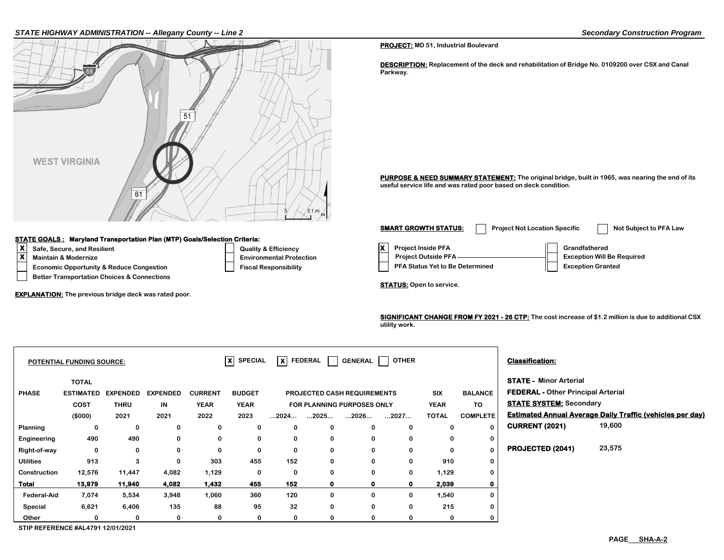### *STATE HIGHWAY ADMINISTRATION -- Allegany County -- Line 2 Secondary Construction Program*



#### **STATE GOALS : Maryland Transportation Plan (MTP) Goals/Selection Criteria:**

- 
- 
- 
- **Better Transportation Choices & Connections**

**EXPLANATION: The previous bridge deck was rated poor.**

#### **PROJECT: MD 51, Industrial Boulevard**

**DESCRIPTION: Replacement of the deck and rehabilitation of Bridge No. 0109200 over CSX and Canal Parkway.**

PURPOSE & NEED SUMMARY STATEMENT: The original bridge, built in 1965, was nearing the end of its **useful service life and was rated poor based on deck condition.**

**X**<br> **X** Safe, Secure, and Resilient Constant Construction Construction Construction Construction Construction Construction Construction Construction Construction Construction Construction Construction Construction Constru **Economic Opportunity & Reduce Congestion Fiscal Responsibility Responsibility PFA Status Yet to Be Determined Fiscal Responsibility Maintain & Modernize** ★ **We Required Environmental Protection** Project Outside PFA —————————————— Exception Will Be Required **SMART GROWTH STATUS:** Project Not Location Specific Not Subject to PFA Law

**STATUS: Open to service.**

**SIGNIFICANT CHANGE FROM FY 2021 - 26 CTP: The cost increase of \$1.2 million is due to additional CSX utility work.**

|                  | <b>POTENTIAL FUNDING SOURCE:</b> |                 |                 |                | $X$ SPECIAL   | $\vert x \vert$      | <b>FEDERAL</b> | <b>GENERAL</b>                     | <b>OTHER</b> |              |                 | <b>Classification:</b>                    |                                                                  |
|------------------|----------------------------------|-----------------|-----------------|----------------|---------------|----------------------|----------------|------------------------------------|--------------|--------------|-----------------|-------------------------------------------|------------------------------------------------------------------|
|                  | <b>TOTAL</b>                     |                 |                 |                |               |                      |                |                                    |              |              |                 | <b>STATE - Minor Arterial</b>             |                                                                  |
| <b>PHASE</b>     | <b>ESTIMATED</b>                 | <b>EXPENDED</b> | <b>EXPENDED</b> | <b>CURRENT</b> | <b>BUDGET</b> |                      |                | <b>PROJECTED CASH REQUIREMENTS</b> |              | <b>SIX</b>   | <b>BALANCE</b>  | <b>FEDERAL - Other Principal Arterial</b> |                                                                  |
|                  | COST                             | <b>THRU</b>     | IN              | <b>YEAR</b>    | <b>YEAR</b>   |                      |                | <b>FOR PLANNING PURPOSES ONLY</b>  |              | <b>YEAR</b>  | TO              | <b>STATE SYSTEM: Secondary</b>            |                                                                  |
|                  | (\$000)                          | 2021            | 2021            | 2022           | 2023          | $\dots$ 2024 $\dots$ | 2025           | 2026                               | 2027         | <b>TOTAL</b> | <b>COMPLETE</b> |                                           | <b>Estimated Annual Average Daily Traffic (vehicles per day)</b> |
| Planning         | 0                                | 0               | 0               | 0              | 0             | 0                    | 0              | 0                                  | 0            | 0            | $\Omega$        | <b>CURRENT (2021)</b>                     | 19,600                                                           |
| Engineering      | 490                              | 490             | 0               | 0              | 0             | 0                    | 0              | 0                                  | 0            | 0            | $\mathbf{0}$    |                                           |                                                                  |
| Right-of-way     | 0                                | $\mathbf 0$     | 0               | $\mathbf 0$    | 0             | 0                    | 0              | 0                                  | 0            | 0            | $\Omega$        | PROJECTED (2041)                          | 23,575                                                           |
| <b>Utilities</b> | 913                              | 3               | 0               | 303            | 455           | 152                  | 0              | 0                                  | 0            | 910          | 0               |                                           |                                                                  |
| Construction     | 12,576                           | 11,447          | 4,082           | 1,129          | 0             | 0                    | 0              | $\Omega$                           | 0            | 1,129        | 0               |                                           |                                                                  |
| <b>Total</b>     | 13,979                           | 11,940          | 4,082           | 1,432          | 455           | 152                  | $\mathbf 0$    | 0                                  | 0            | 2,039        | $\mathbf 0$     |                                           |                                                                  |
| Federal-Aid      | 7,074                            | 5,534           | 3,948           | 1,060          | 360           | 120                  | 0              | 0                                  | 0            | 1,540        | 0               |                                           |                                                                  |
| Special          | 6,621                            | 6,406           | 135             | 88             | 95            | 32                   | 0              | 0                                  | 0            | 215          | 0               |                                           |                                                                  |
| Other            | 0                                | 0               |                 | 0              | 0             | 0                    |                |                                    |              | 0            | 0               |                                           |                                                                  |

**STIP REFERENCE #AL4791 12/01/2021**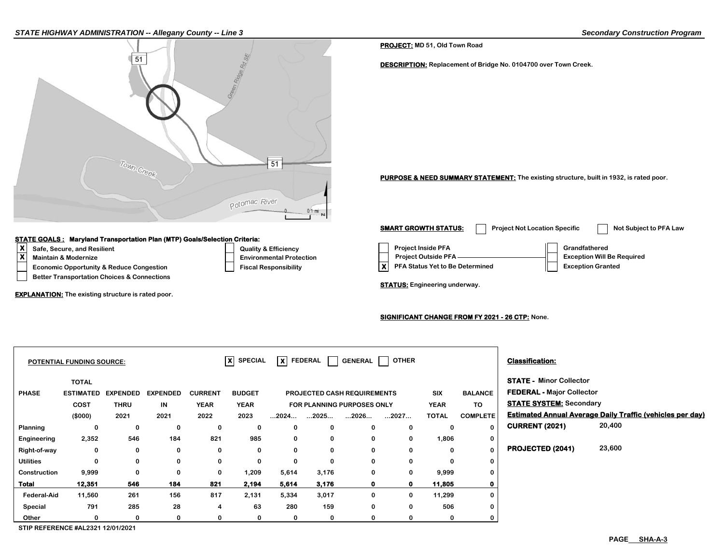#### *STATE HIGHWAY ADMINISTRATION -- Allegany County -- Line 3 Secondary Construction Program*



#### **STATE GOALS : Maryland Transportation Plan (MTP) Goals/Selection Criteria:**

- 
- 
- 
- **Better Transportation Choices & Connections**

**EXPLANATION: The existing structure is rated poor.**

#### **PROJECT: MD 51, Old Town Road**

**DESCRIPTION: Replacement of Bridge No. 0104700 over Town Creek.**

**PURPOSE & NEED SUMMARY STATEMENT: The existing structure, built in 1932, is rated poor.**

**X**<br> **X** Safe, Secure, and Resilient Construction Construction Construction Construction Construction Construction Construction Construction Project Outside PFA Crandfathered<br>
Project Outside PFA Construction Construction Economic Opportunity & Reduce Congestion **Fiscal Responsibility X X** PFA Status Yet to Be Determined **Exception Granted Maintain & Modernize** ★ **We Required Environmental Protection** Project Outside PFA —————————————— Exception Will Be Required **SMART GROWTH STATUS:** Project Not Location Specific Not Subject to PFA Law

**STATUS: Engineering underway.** 

### **SIGNIFICANT CHANGE FROM FY 2021 - 26 CTP: None.**

|                    | <b>POTENTIAL FUNDING SOURCE:</b> |                 |                 |                | $ \mathbf{x} $ SPECIAL |                      | $\overline{\mathsf{x}}$ FEDERAL | <b>GENERAL</b>                     | <b>OTHER</b> |              |                 | <b>Classification:</b>           |                                                                  |
|--------------------|----------------------------------|-----------------|-----------------|----------------|------------------------|----------------------|---------------------------------|------------------------------------|--------------|--------------|-----------------|----------------------------------|------------------------------------------------------------------|
|                    | <b>TOTAL</b>                     |                 |                 |                |                        |                      |                                 |                                    |              |              |                 | <b>STATE - Minor Collector</b>   |                                                                  |
| <b>PHASE</b>       | <b>ESTIMATED</b>                 | <b>EXPENDED</b> | <b>EXPENDED</b> | <b>CURRENT</b> | <b>BUDGET</b>          |                      |                                 | <b>PROJECTED CASH REQUIREMENTS</b> |              | <b>SIX</b>   | <b>BALANCE</b>  | <b>FEDERAL - Major Collector</b> |                                                                  |
|                    | COST                             | <b>THRU</b>     | IN              | <b>YEAR</b>    | <b>YEAR</b>            |                      |                                 | FOR PLANNING PURPOSES ONLY         |              | <b>YEAR</b>  | TO              | <b>STATE SYSTEM: Secondary</b>   |                                                                  |
|                    | (\$000)                          | 2021            | 2021            | 2022           | 2023                   | $\dots$ 2024 $\dots$ | 2025                            | 2026                               | 2027         | <b>TOTAL</b> | <b>COMPLETE</b> |                                  | <b>Estimated Annual Average Daily Traffic (vehicles per day)</b> |
| Planning           | 0                                | 0               | 0               | 0              | 0                      | 0                    | 0                               | $\bf{0}$                           | $\Omega$     | 0            | $\Omega$        | <b>CURRENT (2021)</b>            | 20,400                                                           |
| Engineering        | 2,352                            | 546             | 184             | 821            | 985                    | 0                    | 0                               | 0                                  | 0            | 1,806        | 0               |                                  |                                                                  |
| Right-of-way       | 0                                | 0               | 0               | 0              | 0                      | 0                    | 0                               | 0                                  | 0            | 0            | $\mathbf 0$     | PROJECTED (2041)                 | 23,600                                                           |
| <b>Utilities</b>   | 0                                | 0               | 0               | 0              | 0                      | 0                    | 0                               | 0                                  |              | 0            | 0               |                                  |                                                                  |
| Construction       | 9,999                            | $\mathbf 0$     | $\bf{0}$        | 0              | 1,209                  | 5,614                | 3,176                           | 0                                  | 0            | 9,999        | 0               |                                  |                                                                  |
| <b>Total</b>       | 12,351                           | 546             | 184             | 821            | 2,194                  | 5,614                | 3,176                           | $\mathbf 0$                        | 0            | 11,805       |                 |                                  |                                                                  |
| <b>Federal-Aid</b> | 11,560                           | 261             | 156             | 817            | 2,131                  | 5,334                | 3,017                           | $\mathbf 0$                        | $\bf{0}$     | 11,299       | 0               |                                  |                                                                  |
| Special            | 791                              | 285             | 28              | 4              | 63                     | 280                  | 159                             | $\bf{0}$                           | $\Omega$     | 506          |                 |                                  |                                                                  |
| Other              |                                  | 0               | 0               | 0              | 0                      | 0                    | 0                               | 0                                  |              | 0            |                 |                                  |                                                                  |

**STIP REFERENCE #AL2321 12/01/2021**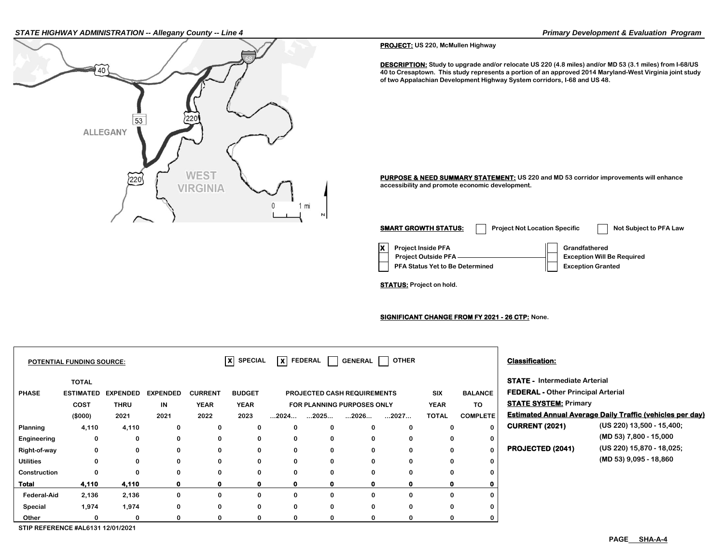#### *STATE HIGHWAY ADMINISTRATION -- Allegany County -- Line 4 Primary Development & Evaluation Program*



**PROJECT: US 220, McMullen Highway**

**DESCRIPTION: Study to upgrade and/or relocate US 220 (4.8 miles) and/or MD 53 (3.1 miles) from I-68/US 40 to Cresaptown. This study represents a portion of an approved 2014 Maryland-West Virginia joint study of two Appalachian Development Highway System corridors, I-68 and US 48.**

**PURPOSE & NEED SUMMARY STATEMENT: US 220 and MD 53 corridor improvements will enhance accessibility and promote economic development.**

| <b>SMART GROWTH STATUS:</b>                                                                       | <b>Project Not Location Specific</b> |                                           | Not Subject to PFA Law            |
|---------------------------------------------------------------------------------------------------|--------------------------------------|-------------------------------------------|-----------------------------------|
| <b>Project Inside PFA</b><br><b>Project Outside PFA</b><br><b>PFA Status Yet to Be Determined</b> |                                      | Grandfathered<br><b>Exception Granted</b> | <b>Exception Will Be Required</b> |

**STATUS: Project on hold.**

**SIGNIFICANT CHANGE FROM FY 2021 - 26 CTP: None.**

|                    | <b>POTENTIAL FUNDING SOURCE:</b> |                 |                 |                | $\overline{X}$ SPECIAL | lxl                  | <b>FEDERAL</b> | <b>GENERAL</b>                     | <b>OTHER</b> |              |                 | <b>Classification:</b>                    |                                                                  |
|--------------------|----------------------------------|-----------------|-----------------|----------------|------------------------|----------------------|----------------|------------------------------------|--------------|--------------|-----------------|-------------------------------------------|------------------------------------------------------------------|
|                    | <b>TOTAL</b>                     |                 |                 |                |                        |                      |                |                                    |              |              |                 | <b>STATE - Intermediate Arterial</b>      |                                                                  |
| <b>PHASE</b>       | <b>ESTIMATED</b>                 | <b>EXPENDED</b> | <b>EXPENDED</b> | <b>CURRENT</b> | <b>BUDGET</b>          |                      |                | <b>PROJECTED CASH REQUIREMENTS</b> |              | <b>SIX</b>   | <b>BALANCE</b>  | <b>FEDERAL - Other Principal Arterial</b> |                                                                  |
|                    | <b>COST</b>                      | <b>THRU</b>     | IN              | <b>YEAR</b>    | <b>YEAR</b>            |                      |                | FOR PLANNING PURPOSES ONLY         |              | <b>YEAR</b>  | TO              | <b>STATE SYSTEM: Primary</b>              |                                                                  |
|                    | (\$000)                          | 2021            | 2021            | 2022           | 2023                   | $\dots$ 2024 $\dots$ | 2025           | 2026                               | 2027         | <b>TOTAL</b> | <b>COMPLETE</b> |                                           | <b>Estimated Annual Average Daily Traffic (vehicles per day)</b> |
| <b>Planning</b>    | 4,110                            | 4,110           | 0               | 0              | 0                      | 0                    | 0              | 0                                  | $\Omega$     | 0            | 0               | <b>CURRENT (2021)</b>                     | (US 220) 13,500 - 15,400;                                        |
| Engineering        | 0                                | 0               | $\bf{0}$        | 0              | 0                      | $\mathbf 0$          | $\bf{0}$       | 0                                  | $\Omega$     | 0            | 0               |                                           | (MD 53) 7,800 - 15,000                                           |
| Right-of-way       | 0                                | 0               | $\bf{0}$        | 0              | $\mathbf{0}$           | $\bf{0}$             | $\mathbf{0}$   | 0                                  | $\Omega$     | 0            | $\Omega$        | PROJECTED (2041)                          | (US 220) 15,870 - 18,025;                                        |
| <b>Utilities</b>   | 0                                | $\Omega$        | $\bf{0}$        | 0              | 0                      | $\mathbf 0$          | $\mathbf{0}$   | $\Omega$                           | $\Omega$     | 0            | 0               |                                           | $(MD 53)$ 9,095 - 18,860                                         |
| Construction       | 0                                | 0               | 0               | 0              | 0                      | 0                    | $\mathbf{0}$   | 0                                  |              | 0            | 0               |                                           |                                                                  |
| <b>Total</b>       | 4,110                            | 4,110           |                 | 0              | $\mathbf{0}$           | 0                    |                | o                                  | O            |              | 0               |                                           |                                                                  |
| <b>Federal-Aid</b> | 2,136                            | 2,136           | $\bf{0}$        | 0              | 0                      | $\bf{0}$             | $\Omega$       | 0                                  | $\Omega$     | 0            | 0               |                                           |                                                                  |
| Special            | 1,974                            | 1,974           | $\Omega$        | 0              | 0                      | $\bf{0}$             | $\Omega$       | 0                                  | $\Omega$     | 0            | 0               |                                           |                                                                  |
| Other              | 0                                | 0               | $\Omega$        | 0              | 0                      | 0                    | $\mathbf{0}$   | 0                                  | $\Omega$     | 0            | 0               |                                           |                                                                  |